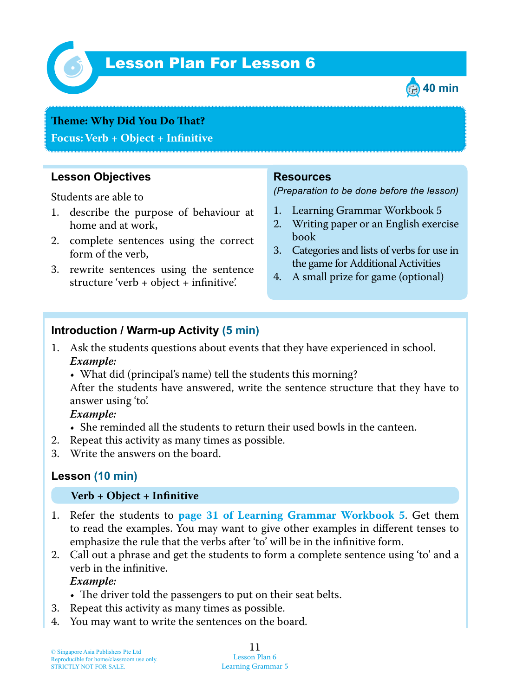

# *6* Lesson Plan For Lesson 6



# **Teme : Why Did You Do Tat?**

**Focus: Verb + Object + Infinitive**

# **Lesson Objectives**

Students are able to

- 1. describe the purpose of behaviour at home and at work,
- 2. complete sentences using the correct form of the verb,
- 3. rewrite sentences using the sentence structure 'verb + object + infinitive'.

### **Resources**

*(Preparation to be done before the lesson)*

- 1. Learning Grammar Workbook 5
- 2. Writing paper or an English exercise book
- 3. Categories and lists of verbs for use in the game for Additional Activities
- 4. A small prize for game (optional)

# **Introduction / Warm-up Activity (5 min)**

- 1. Ask the students questions about events that they have experienced in school.  *Example:*
	- What did (principal's name) tell the students this morning?

After the students have answered, write the sentence structure that they have to answer using 'to'.

 *Example:*

- She reminded all the students to return their used bowls in the canteen.
- 2. Repeat this activity as many times as possible.
- 3. Write the answers on the board.

#### **Lesson (10 min)**

#### **Verb + Object + Infinitive**

- 1. Refer the students to **page 31 of Learning Grammar Workbook 5** . Get them to read the examples. You may want to give other examples in different tenses to emphasize the rule that the verbs after 'to' will be in the infinitive form.
- 2. Call out a phrase and get the students to form a complete sentence using 'to' and a verb in the infinitive.

#### *Example:*

- The driver told the passengers to put on their seat belts.
- 3. Repeat this activity as many times as possible.
- 4. You may want to write the sentences on the board.

#### 11